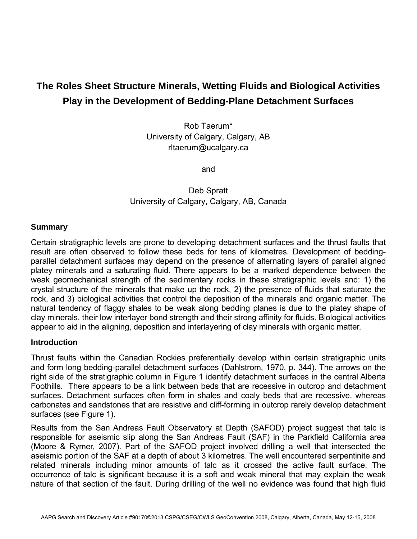# **The Roles Sheet Structure Minerals, Wetting Fluids and Biological Activities Play in the Development of Bedding-Plane Detachment Surfaces**

Rob Taerum\* University of Calgary, Calgary, AB rltaerum@ucalgary.ca

and

Deb Spratt University of Calgary, Calgary, AB, Canada

### **Summary**

Certain stratigraphic levels are prone to developing detachment surfaces and the thrust faults that result are often observed to follow these beds for tens of kilometres. Development of beddingparallel detachment surfaces may depend on the presence of alternating layers of parallel aligned platey minerals and a saturating fluid. There appears to be a marked dependence between the weak geomechanical strength of the sedimentary rocks in these stratigraphic levels and: 1) the crystal structure of the minerals that make up the rock, 2) the presence of fluids that saturate the rock, and 3) biological activities that control the deposition of the minerals and organic matter. The natural tendency of flaggy shales to be weak along bedding planes is due to the platey shape of clay minerals, their low interlayer bond strength and their strong affinity for fluids. Biological activities appear to aid in the aligning, deposition and interlayering of clay minerals with organic matter.

#### **Introduction**

Thrust faults within the Canadian Rockies preferentially develop within certain stratigraphic units and form long bedding-parallel detachment surfaces (Dahlstrom, 1970, p. 344). The arrows on the right side of the stratigraphic column in Figure 1 identify detachment surfaces in the central Alberta Foothills. There appears to be a link between beds that are recessive in outcrop and detachment surfaces. Detachment surfaces often form in shales and coaly beds that are recessive, whereas carbonates and sandstones that are resistive and cliff-forming in outcrop rarely develop detachment surfaces (see Figure 1).

Results from the San Andreas Fault Observatory at Depth (SAFOD) project suggest that talc is responsible for aseismic slip along the San Andreas Fault (SAF) in the Parkfield California area (Moore & Rymer, 2007). Part of the SAFOD project involved drilling a well that intersected the aseismic portion of the SAF at a depth of about 3 kilometres. The well encountered serpentinite and related minerals including minor amounts of talc as it crossed the active fault surface. The occurrence of talc is significant because it is a soft and weak mineral that may explain the weak nature of that section of the fault. During drilling of the well no evidence was found that high fluid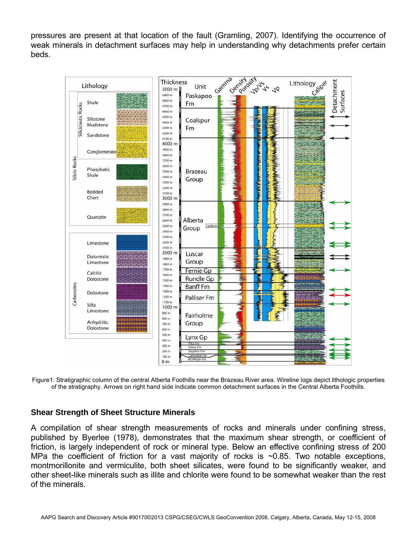pressures are present at that location of the fault (Gramling, 2007). Identifying the occurrence of weak minerals in detachment surfaces may help in understanding why detachments prefer certain beds.



Figure1: Stratigraphic column of the central Alberta Foothills near the Brazeau River area. Wireline logs depict lithologic properties of the stratigraphy. Arrows on right hand side indicate common detachment surfaces in the Central Alberta Foothills.

# **Shear Strength of Sheet Structure Minerals**

A compilation of shear strength measurements of rocks and minerals under confining stress, published by Byerlee (1978), demonstrates that the maximum shear strength, or coefficient of friction, is largely independent of rock or mineral type. Below an effective confining stress of 200 MPa the coefficient of friction for a vast majority of rocks is  $\sim$ 0.85. Two notable exceptions, montmorillonite and vermiculite, both sheet silicates, were found to be significantly weaker, and other sheet-like minerals such as illite and chlorite were found to be somewhat weaker than the rest of the minerals.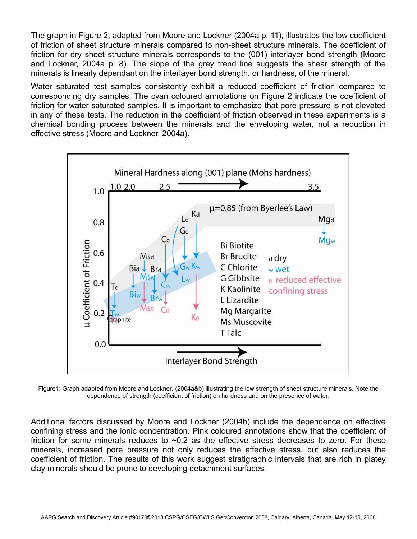The graph in Figure 2, adapted from Moore and Lockner (2004a p. 11), illustrates the low coefficient of friction of sheet structure minerals compared to non-sheet structure minerals. The coefficient of friction for dry sheet structure minerals corresponds to the (001) interlayer bond strength (Moore and Lockner, 2004a p. 8). The slope of the grey trend line suggests the shear strength of the minerals is linearly dependant on the interlayer bond strength, or hardness, of the mineral.

Water saturated test samples consistently exhibit a reduced coefficient of friction compared to corresponding dry samples. The cyan coloured annotations on Figure 2 indicate the coefficient of friction for water saturated samples. It is important to emphasize that pore pressure is not elevated in any of these tests. The reduction in the coefficient of friction observed in these experiments is a chemical bonding process between the minerals and the enveloping water, not a reduction in effective stress (Moore and Lockner, 2004a).



Figure1: Graph adapted from Moore and Lockner, (2004a&b) illustrating the low strength of sheet structure minerals. Note the dependence of strength (coefficient of friction) on hardness and on the presence of water.

Additional factors discussed by Moore and Lockner (2004b) include the dependence on effective confining stress and the ionic concentration. Pink coloured annotations show that the coefficient of friction for some minerals reduces to  $\sim$ 0.2 as the effective stress decreases to zero. For these minerals, increased pore pressure not only reduces the effective stress, but also reduces the coefficient of friction. The results of this work suggest stratigraphic intervals that are rich in platey clay minerals should be prone to developing detachment surfaces.